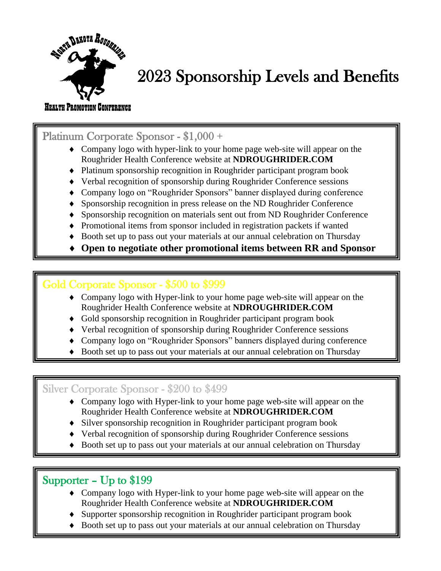

# 2023 Sponsorship Levels and Benefits

#### HEALTH PROMOTION CONFERENCE

Platinum Corporate Sponsor - \$1,000 +

- Company logo with hyper-link to your home page web-site will appear on the Roughrider Health Conference website at **NDROUGHRIDER.COM**
- Platinum sponsorship recognition in Roughrider participant program book
- Verbal recognition of sponsorship during Roughrider Conference sessions
- Company logo on "Roughrider Sponsors" banner displayed during conference
- Sponsorship recognition in press release on the ND Roughrider Conference
- Sponsorship recognition on materials sent out from ND Roughrider Conference
- Promotional items from sponsor included in registration packets if wanted
- Booth set up to pass out your materials at our annual celebration on Thursday
- **Open to negotiate other promotional items between RR and Sponsor**

### Gold Corporate Sponsor - \$500 to \$999

- Company logo with Hyper-link to your home page web-site will appear on the Roughrider Health Conference website at **NDROUGHRIDER.COM**
- Gold sponsorship recognition in Roughrider participant program book
- Verbal recognition of sponsorship during Roughrider Conference sessions
- Company logo on "Roughrider Sponsors" banners displayed during conference
- Booth set up to pass out your materials at our annual celebration on Thursday

## Silver Corporate Sponsor - \$200 to \$499

- Company logo with Hyper-link to your home page web-site will appear on the Roughrider Health Conference website at **NDROUGHRIDER.COM**
- Silver sponsorship recognition in Roughrider participant program book
- Verbal recognition of sponsorship during Roughrider Conference sessions
- Booth set up to pass out your materials at our annual celebration on Thursday

# Supporter – Up to \$199

Ξ

۳  $\overline{a}$ 

۲

- Company logo with Hyper-link to your home page web-site will appear on the Roughrider Health Conference website at **NDROUGHRIDER.COM**
- Supporter sponsorship recognition in Roughrider participant program book
- Booth set up to pass out your materials at our annual celebration on Thursday